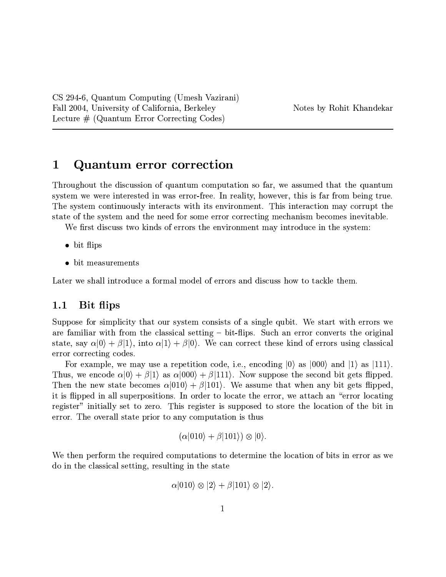CS 294-6, Quantum Computing (Umesh Vazirani) Fall 2004, University of California, Berkeley Lecture  $\#$  (Quantum Error Correcting Codes)

## Quantum error correction 1

Throughout the discussion of quantum computation so far, we assumed that the quantum system we were interested in was error-free. In reality, however, this is far from being true. The system continuously interacts with its environment. This interaction may corrupt the state of the system and the need for some error correcting mechanism becomes inevitable.

We first discuss two kinds of errors the environment may introduce in the system:

- $\bullet$  bit flips
- bit measurements

Later we shall introduce a formal model of errors and discuss how to tackle them.

## $1.1$ Bit flips

Suppose for simplicity that our system consists of a single qubit. We start with errors we are familiar with from the classical setting  $-$  bit-flips. Such an error converts the original state, say  $\alpha|0\rangle + \beta|1\rangle$ , into  $\alpha|1\rangle + \beta|0\rangle$ . We can correct these kind of errors using classical error correcting codes.

For example, we may use a repetition code, i.e., encoding  $|0\rangle$  as  $|000\rangle$  and  $|1\rangle$  as  $|111\rangle$ . Thus, we encode  $\alpha|0\rangle + \beta|1\rangle$  as  $\alpha|000\rangle + \beta|111\rangle$ . Now suppose the second bit gets flipped. Then the new state becomes  $\alpha|010\rangle + \beta|101\rangle$ . We assume that when any bit gets flipped. it is flipped in all superpositions. In order to locate the error, we attach an "error locating register" initially set to zero. This register is supposed to store the location of the bit in error. The overall state prior to any computation is thus

$$
(\alpha|010\rangle + \beta|101\rangle) \otimes |0\rangle.
$$

We then perform the required computations to determine the location of bits in error as we do in the classical setting, resulting in the state

$$
\alpha|010\rangle \otimes |2\rangle + \beta|101\rangle \otimes |2\rangle.
$$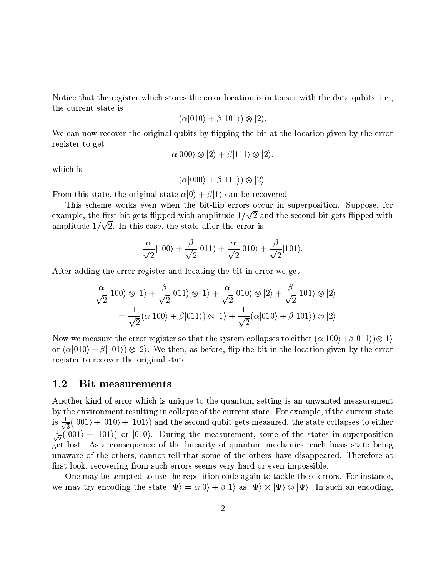Notice that the register which stores the error location is in tensor with the data qubits, i.e., the current state is

$$
(\alpha|010\rangle + \beta|101\rangle) \otimes |2\rangle
$$

We can now recover the original qubits by flipping the bit at the location given by the error register to get

$$
\alpha|000\rangle \otimes |2\rangle + \beta|111\rangle \otimes |2\rangle,
$$

which is

 $(\alpha|000\rangle + \beta|111\rangle) \otimes |2\rangle.$ 

From this state, the original state  $\alpha|0\rangle + \beta|1\rangle$  can be recovered.

This scheme works even when the bit-flip errors occur in superposition. Suppose, for example, the first bit gets flipped with amplitude  $1/\sqrt{2}$  and the second bit gets flipped with amplitude  $1/\sqrt{2}$ . In this case, the state after the error is

$$
\frac{\alpha}{\sqrt{2}}|100\rangle + \frac{\beta}{\sqrt{2}}|011\rangle + \frac{\alpha}{\sqrt{2}}|010\rangle + \frac{\beta}{\sqrt{2}}|101\rangle.
$$

After adding the error register and locating the bit in error we get

$$
\frac{\alpha}{\sqrt{2}}|100\rangle \otimes |1\rangle + \frac{\beta}{\sqrt{2}}|011\rangle \otimes |1\rangle + \frac{\alpha}{\sqrt{2}}|010\rangle \otimes |2\rangle + \frac{\beta}{\sqrt{2}}|101\rangle \otimes |2\rangle
$$

$$
= \frac{1}{\sqrt{2}}(\alpha|100\rangle + \beta|011\rangle) \otimes |1\rangle + \frac{1}{\sqrt{2}}(\alpha|010\rangle + \beta|101\rangle) \otimes |2\rangle
$$

Now we measure the error register so that the system collapses to either  $(\alpha|100\rangle + \beta|011\rangle) \otimes |1\rangle$ or  $(\alpha|010\rangle + \beta|101\rangle) \otimes |2\rangle$ . We then, as before, flip the bit in the location given by the error register to recover the original state.

### $1.2$ **Bit measurements**

Another kind of error which is unique to the quantum setting is an unwanted measurement by the environment resulting in collapse of the current state. For example, if the current state is  $\frac{1}{\sqrt{3}}(|001\rangle + |010\rangle + |101\rangle)$  and the second qubit gets measured, the state collapses to either  $\frac{1}{\sqrt{2}}(|001\rangle + |101\rangle)$  or  $|010\rangle$ . During the measurement, some of the states in superposition get lost. As a consequence of the linearity of quantum mechanics, each basis state being unaware of the others, cannot tell that some of the others have disappeared. Therefore at first look, recovering from such errors seems very hard or even impossible.

One may be tempted to use the repetition code again to tackle these errors. For instance, we may try encoding the state  $|\Psi\rangle = \alpha|0\rangle + \beta|1\rangle$  as  $|\Psi\rangle \otimes |\Psi\rangle \otimes |\Psi\rangle$ . In such an encoding,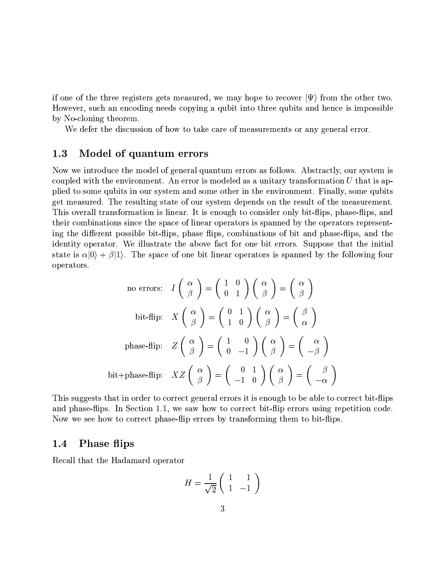if one of the three registers gets measured, we may hope to recover  $|\Psi\rangle$  from the other two. However, such an encoding needs copying a qubit into three qubits and hence is impossible by No-cloning theorem.

We defer the discussion of how to take care of measurements or any general error.

### 1.3 Model of quantum errors

Now we introduce the model of general quantum errors as follows. Abstractly, our system is coupled with the environment. An error is modeled as a unitary transformation  $U$  that is applied to some qubits in our system and some other in the environment. Finally, some qubits get measured. The resulting state of our system depends on the result of the measurement. This overall transformation is linear. It is enough to consider only bit-flips, phase-flips, and their combinations since the space of linear operators is spanned by the operators representing the different possible bit-flips, phase flips, combinations of bit and phase-flips, and the identity operator. We illustrate the above fact for one bit errors. Suppose that the initial state is  $\alpha|0\rangle + \beta|1\rangle$ . The space of one bit linear operators is spanned by the following four operators

no errors: 
$$
I\begin{pmatrix} \alpha \\ \beta \end{pmatrix} = \begin{pmatrix} 1 & 0 \\ 0 & 1 \end{pmatrix} \begin{pmatrix} \alpha \\ \beta \end{pmatrix} = \begin{pmatrix} \alpha \\ \beta \end{pmatrix}
$$
  
bit-flip:  $X\begin{pmatrix} \alpha \\ \beta \end{pmatrix} = \begin{pmatrix} 0 & 1 \\ 1 & 0 \end{pmatrix} \begin{pmatrix} \alpha \\ \beta \end{pmatrix} = \begin{pmatrix} \beta \\ \alpha \end{pmatrix}$   
phase-flip:  $Z\begin{pmatrix} \alpha \\ \beta \end{pmatrix} = \begin{pmatrix} 1 & 0 \\ 0 & -1 \end{pmatrix} \begin{pmatrix} \alpha \\ \beta \end{pmatrix} = \begin{pmatrix} \alpha \\ -\beta \end{pmatrix}$   
bit+phase-flip:  $XZ\begin{pmatrix} \alpha \\ \beta \end{pmatrix} = \begin{pmatrix} 0 & 1 \\ -1 & 0 \end{pmatrix} \begin{pmatrix} \alpha \\ \beta \end{pmatrix} = \begin{pmatrix} \beta \\ -\alpha \end{pmatrix}$ 

This suggests that in order to correct general errors it is enough to be able to correct bit-flips and phase-flips. In Section 1.1, we saw how to correct bit-flip errors using repetition code. Now we see how to correct phase-flip errors by transforming them to bit-flips.

### 1.4 Phase flips

Recall that the Hadamard operator

$$
H = \frac{1}{\sqrt{2}} \left( \begin{array}{cc} 1 & 1 \\ 1 & -1 \end{array} \right)
$$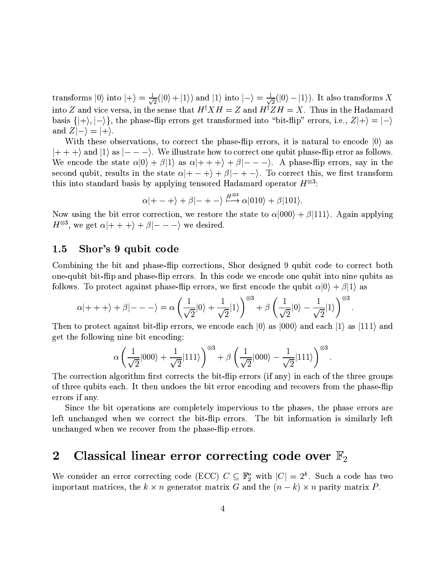transforms  $|0\rangle$  into  $|+\rangle = \frac{1}{\sqrt{2}}(|0\rangle + |1\rangle)$  and  $|1\rangle$  into  $|-\rangle = \frac{1}{\sqrt{2}}(|0\rangle - |1\rangle)$ . It also transforms X into Z and vice versa, in the sense that  $H^{\dagger} X H = Z$  and  $H^{\dagger} Z H = X$ . Thus in the Hadamard basis  $\{|\rangle, |\rangle\}$ , the phase-flip errors get transformed into "bit-flip" errors, i.e.,  $Z|\rangle = |\rangle$ and  $Z|-\rangle = |+\rangle$ .

With these observations, to correct the phase-flip errors, it is natural to encode  $|0\rangle$  as  $|+++\rangle$  and  $|1\rangle$  as  $|---\rangle$ . We illustrate how to correct one qubit phase-flip error as follows. We encode the state  $\alpha|0\rangle + \beta|1\rangle$  as  $\alpha|+++\rangle + \beta|---\rangle$ . A phase-flip errors, say in the second qubit, results in the state  $\alpha|+ - +\rangle + \beta|+ -$ . To correct this, we first transform this into standard basis by applying tensored Hadamard operator  $H^{\otimes 3}$ :

$$
\alpha|+ - +\rangle + \beta|-, + -\rangle \stackrel{H^{\otimes 3}}{\longrightarrow} \alpha|010\rangle + \beta|101\rangle.
$$

Now using the bit error correction, we restore the state to  $\alpha|000\rangle + \beta|111\rangle$ . Again applying  $H^{\otimes 3}$ , we get  $\alpha|+++\rangle + \beta|---\rangle$  we desired.

## $1.5$ Shor's 9 qubit code

Combining the bit and phase-flip corrections, Shor designed 9 qubit code to correct both one-qubit bit-flip and phase-flip errors. In this code we encode one qubit into nine qubits as follows. To protect against phase-flip errors, we first encode the qubit  $\alpha|0\rangle + \beta|1\rangle$  as

$$
\alpha|+++\rangle+\beta|---\rangle=\alpha\left(\frac{1}{\sqrt{2}}|0\rangle+\frac{1}{\sqrt{2}}|1\rangle\right)^{\otimes3}+\beta\left(\frac{1}{\sqrt{2}}|0\rangle-\frac{1}{\sqrt{2}}|1\rangle\right)^{\otimes3}
$$

Then to protect against bit-flip errors, we encode each  $|0\rangle$  as  $|000\rangle$  and each  $|1\rangle$  as  $|111\rangle$  and get the following nine bit encoding:

$$
\alpha \left( \frac{1}{\sqrt{2}} |000\rangle + \frac{1}{\sqrt{2}} |111\rangle \right)^{\otimes 3} + \beta \left( \frac{1}{\sqrt{2}} |000\rangle - \frac{1}{\sqrt{2}} |111\rangle \right)^{\otimes 3}.
$$

The correction algorithm first corrects the bit-flip errors (if any) in each of the three groups of three qubits each. It then undoes the bit error encoding and recovers from the phase-flip errors if any.

Since the bit operations are completely impervious to the phases, the phase errors are left unchanged when we correct the bit-flip errors. The bit information is similarly left unchanged when we recover from the phase-flip errors.

# Classical linear error correcting code over  $\mathbb{F}_2$  $\overline{2}$

We consider an error correcting code (ECC)  $C \subseteq \mathbb{F}_2^n$  with  $|C| = 2^k$ . Such a code has two important matrices, the  $k \times n$  generator matrix G and the  $(n-k) \times n$  parity matrix P.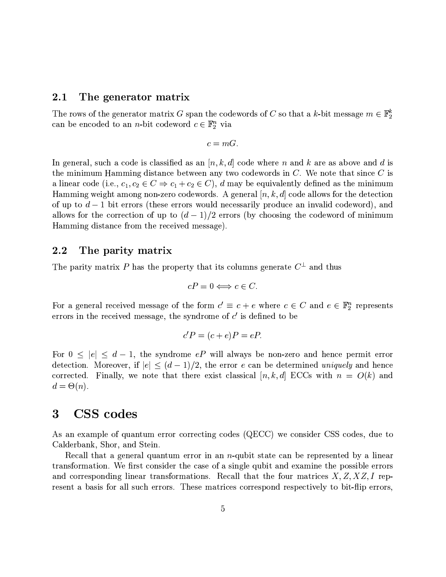#### $2.1$ The generator matrix

The rows of the generator matrix G span the codewords of C so that a k-bit message  $m \in \mathbb{F}_2^k$ can be encoded to an *n*-bit codeword  $c \in \mathbb{F}_2^n$  via

 $c=mG$ .

In general, such a code is classified as an  $[n, k, d]$  code where n and k are as above and d is the minimum Hamming distance between any two codewords in  $C$ . We note that since  $C$  is a linear code (i.e.,  $c_1, c_2 \in C \Rightarrow c_1 + c_2 \in C$ ), d may be equivalently defined as the minimum Hamming weight among non-zero codewords. A general  $[n, k, d]$  code allows for the detection of up to  $d-1$  bit errors (these errors would necessarily produce an invalid codeword), and allows for the correction of up to  $(d-1)/2$  errors (by choosing the codeword of minimum Hamming distance from the received message).

### $2.2$ The parity matrix

The parity matrix P has the property that its columns generate  $C^{\perp}$  and thus

$$
cP = 0 \Longleftrightarrow c \in C.
$$

For a general received message of the form  $c' \equiv c + e$  where  $c \in C$  and  $e \in \mathbb{F}_2^n$  represents errors in the received message, the syndrome of  $c'$  is defined to be

$$
c'P = (c+e)P = eP.
$$

For  $0 \leq |e| \leq d-1$ , the syndrome eP will always be non-zero and hence permit error detection. Moreover, if  $|e| \leq (d-1)/2$ , the error e can be determined *uniquely* and hence corrected. Finally, we note that there exist classical  $[n, k, d]$  ECCs with  $n = O(k)$  and  $d = \Theta(n).$ 

## $\bf{3}$ CSS codes

As an example of quantum error correcting codes (QECC) we consider CSS codes, due to Calderbank, Shor, and Stein.

Recall that a general quantum error in an *n*-qubit state can be represented by a linear transformation. We first consider the case of a single qubit and examine the possible errors and corresponding linear transformations. Recall that the four matrices  $X, Z, XZ, I$  represent a basis for all such errors. These matrices correspond respectively to bit-flip errors,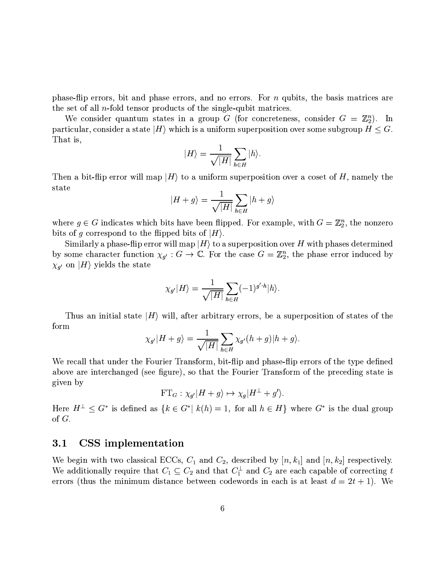phase-flip errors, bit and phase errors, and no errors. For  $n$  qubits, the basis matrices are the set of all  $n$ -fold tensor products of the single-qubit matrices.

We consider quantum states in a group G (for concreteness, consider  $G = \mathbb{Z}_2^n$ ). In particular, consider a state  $|H\rangle$  which is a uniform superposition over some subgroup  $H \leq G$ . That is,

$$
|H\rangle = \frac{1}{\sqrt{|H|}} \sum_{h \in H} |h\rangle.
$$

Then a bit-flip error will map  $|H\rangle$  to a uniform superposition over a coset of H, namely the state

$$
|H+g\rangle = \frac{1}{\sqrt{|H|}} \sum_{h \in H} |h+g\rangle
$$

where  $g \in G$  indicates which bits have been flipped. For example, with  $G = \mathbb{Z}_2^n$ , the nonzero bits of g correspond to the flipped bits of  $|H\rangle$ .

Similarly a phase-flip error will map  $|H\rangle$  to a superposition over H with phases determined by some character function  $\chi_{q'} : G \to \mathbb{C}$ . For the case  $G = \mathbb{Z}_2^n$ , the phase error induced by  $\chi_{g'}$  on  $|H\rangle$  yields the state

$$
\chi_{g'}|H\rangle = \frac{1}{\sqrt{|H|}} \sum_{h \in H} (-1)^{g' \cdot h} |h\rangle.
$$

Thus an initial state  $|H\rangle$  will, after arbitrary errors, be a superposition of states of the form

$$
\chi_{g'}|H+g\rangle = \frac{1}{\sqrt{|H|}}\sum_{h\in H} \chi_{g'}(h+g)|h+g\rangle.
$$

We recall that under the Fourier Transform, bit-flip and phase-flip errors of the type defined above are interchanged (see figure), so that the Fourier Transform of the preceding state is given by

$$
\mathrm{FT}_G: \chi_{g'}|H+g\rangle \mapsto \chi_g|H^{\perp}+g'\rangle.
$$

Here  $H^{\perp} \leq G^*$  is defined as  $\{k \in G^* | k(h) = 1, \text{ for all } h \in H\}$  where  $G^*$  is the dual group of  $G$ .

## $3.1$ CSS implementation

We begin with two classical ECCs,  $C_1$  and  $C_2$ , described by  $[n, k_1]$  and  $[n, k_2]$  respectively. We additionally require that  $C_1 \subseteq C_2$  and that  $C_1^{\perp}$  and  $C_2$  are each capable of correcting t errors (thus the minimum distance between codewords in each is at least  $d = 2t + 1$ ). We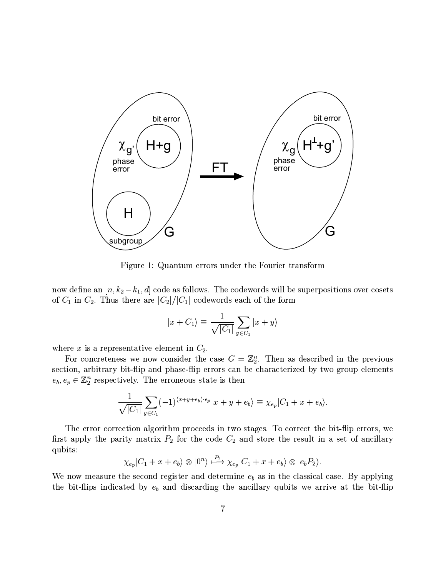

Figure 1: Quantum errors under the Fourier transform

now define an  $[n, k_2 - k_1, d]$  code as follows. The codewords will be superpositions over cosets of  $C_1$  in  $C_2$ . Thus there are  $|C_2|/|C_1|$  codewords each of the form

$$
|x + C_1\rangle \equiv \frac{1}{\sqrt{|C_1|}} \sum_{y \in C_1} |x + y\rangle
$$

where x is a representative element in  $C_2$ .

For concreteness we now consider the case  $G = \mathbb{Z}_2^n$ . Then as described in the previous section, arbitrary bit-flip and phase-flip errors can be characterized by two group elements  $e_b, e_p \in \mathbb{Z}_2^n$  respectively. The erroneous state is then

$$
\frac{1}{\sqrt{|C_1|}}\sum_{y\in C_1} (-1)^{(x+y+e_b)\cdot e_p}|x+y+e_b\rangle \equiv \chi_{e_p}|C_1+x+e_b\rangle.
$$

The error correction algorithm proceeds in two stages. To correct the bit-flip errors, we first apply the parity matrix  $P_2$  for the code  $C_2$  and store the result in a set of ancillary qubits:

$$
\chi_{e_p}|C_1+x+e_b\rangle \otimes |0^n\rangle \stackrel{P_2}{\longrightarrow} \chi_{e_p}|C_1+x+e_b\rangle \otimes |e_bP_2\rangle
$$

We now measure the second register and determine  $e<sub>b</sub>$  as in the classical case. By applying the bit-flips indicated by  $e_b$  and discarding the ancillary qubits we arrive at the bit-flip